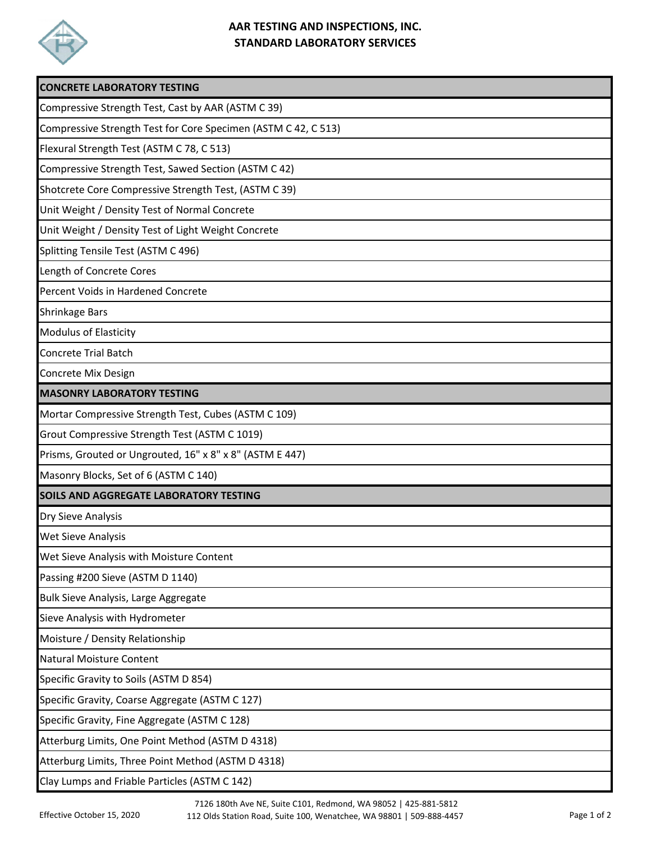

## **AAR TESTING AND INSPECTIONS, INC. STANDARD LABORATORY SERVICES**

| <b>CONCRETE LABORATORY TESTING</b>                             |
|----------------------------------------------------------------|
| Compressive Strength Test, Cast by AAR (ASTM C 39)             |
| Compressive Strength Test for Core Specimen (ASTM C 42, C 513) |
| Flexural Strength Test (ASTM C 78, C 513)                      |
| Compressive Strength Test, Sawed Section (ASTM C 42)           |
| Shotcrete Core Compressive Strength Test, (ASTM C 39)          |
| Unit Weight / Density Test of Normal Concrete                  |
| Unit Weight / Density Test of Light Weight Concrete            |
| Splitting Tensile Test (ASTM C 496)                            |
| Length of Concrete Cores                                       |
| Percent Voids in Hardened Concrete                             |
| <b>Shrinkage Bars</b>                                          |
| <b>Modulus of Elasticity</b>                                   |
| <b>Concrete Trial Batch</b>                                    |
| Concrete Mix Design                                            |
| <b>MASONRY LABORATORY TESTING</b>                              |
| Mortar Compressive Strength Test, Cubes (ASTM C 109)           |
| Grout Compressive Strength Test (ASTM C 1019)                  |
| Prisms, Grouted or Ungrouted, 16" x 8" x 8" (ASTM E 447)       |
| Masonry Blocks, Set of 6 (ASTM C 140)                          |
| SOILS AND AGGREGATE LABORATORY TESTING                         |
| Dry Sieve Analysis                                             |
| <b>Wet Sieve Analysis</b>                                      |
| Wet Sieve Analysis with Moisture Content                       |
| Passing #200 Sieve (ASTM D 1140)                               |
| Bulk Sieve Analysis, Large Aggregate                           |
| Sieve Analysis with Hydrometer                                 |
| Moisture / Density Relationship                                |
| <b>Natural Moisture Content</b>                                |
| Specific Gravity to Soils (ASTM D 854)                         |
| Specific Gravity, Coarse Aggregate (ASTM C 127)                |
| Specific Gravity, Fine Aggregate (ASTM C 128)                  |
| Atterburg Limits, One Point Method (ASTM D 4318)               |
| Atterburg Limits, Three Point Method (ASTM D 4318)             |
| Clay Lumps and Friable Particles (ASTM C 142)                  |